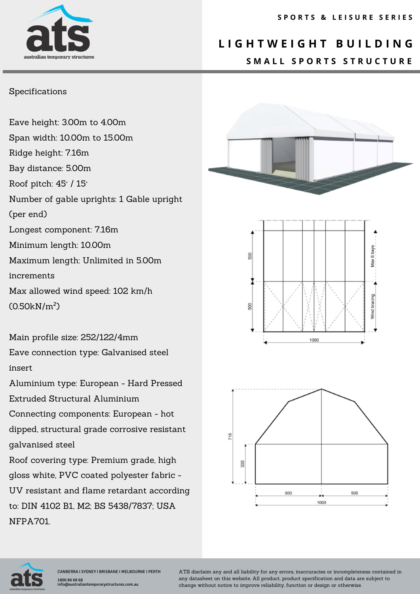# australian temporar

### **L I G H T W E I G H T B U I L D I N G S M A L L S P O R T S S T R U C T U R E**

#### Specifications

Eave height: 3.00m to 4.00m Span width: 10.00m to 15.00m Ridge height: 7.16m Bay distance: 5.00m Roof pitch: 45° / 15° Number of gable uprights: 1 Gable upright (per end) Longest component: 7.16m Minimum length: 10.00m Maximum length: Unlimited in 5.00m increments Max allowed wind speed: 102 km/h (0.50kN/m²)

Main profile size: 252/122/4mm Eave connection type: Galvanised steel insert

Aluminium type: European - Hard Pressed Extruded Structural Aluminium

Connecting components: European - hot dipped, structural grade corrosive resistant galvanised steel

Roof covering type: Premium grade, high gloss white, PVC coated polyester fabric - UV resistant and flame retardant according to: DIN 4102 B1, M2; BS 5438/7837; USA NFPA701.









ATS disclaim any and all liability for any errors, inaccuracies or incompleteness contained in any datasheet on this website. All product, product specification and data are subject to change without notice to improve reliability, function or design or otherwise.